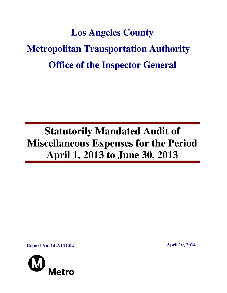# **Los Angeles County Metropolitan Transportation Authority Office of the Inspector General**

## **Statutorily Mandated Audit of Miscellaneous Expenses for the Period April 1, 2013 to June 30, 2013**

**Report No. 14-AUD-04 April 10, 2014** 

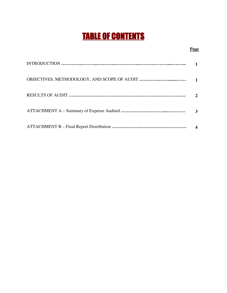## TABLE OF CONTENTS

#### **Page**

| $\mathcal{L}$ |
|---------------|
| 3             |
|               |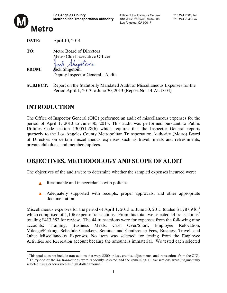

Los Angeles, CA 90017



**DATE:** April 10, 2014 **TO:** Metro Board of Directors Metro Chief Executive Officer

retomi **FROM:** Jack Shigetomi Deputy Inspector General - Audits

**SUBJECT:** Report on the Statutorily Mandated Audit of Miscellaneous Expenses for the Period April 1, 2013 to June 30, 2013 (Report No. 14-AUD-04)

## **INTRODUCTION**

The Office of Inspector General (OIG) performed an audit of miscellaneous expenses for the period of April 1, 2013 to June 30, 2013. This audit was performed pursuant to Public Utilities Code section 130051.28(b) which requires that the Inspector General reports quarterly to the Los Angeles County Metropolitan Transportation Authority (Metro) Board of Directors on certain miscellaneous expenses such as travel, meals and refreshments, private club dues, and membership fees.

## **OBJECTIVES, METHODOLOGY AND SCOPE OF AUDIT**

The objectives of the audit were to determine whether the sampled expenses incurred were:

- Reasonable and in accordance with policies.
- A Adequately supported with receipts, proper approvals, and other appropriate documentation.

Miscellaneous expenses for the period of April 1, 2013 to June 30, 2013 totaled \$1,787,946,<sup>1</sup> which comprised of 1,106 expense transactions. From this total, we selected 44 transactions<sup>2</sup> totaling \$413,382 for review. The 44 transactions were for expenses from the following nine accounts: Training, Business Meals, Cash Over/Short, Employee Relocation, Mileage/Parking, Schedule Checkers, Seminar and Conference Fees, Business Travel, and Other Miscellaneous Expenses. No item was selected for testing from the Employee Activities and Recreation account because the amount is immaterial. We tested each selected

 $\overline{a}$  $1$  This total does not include transactions that were \$200 or less, credits, adjustments, and transactions from the OIG.

 $2$  Thirty-one of the 44 transactions were randomly selected and the remaining 13 transactions were judgmentally selected using criteria such as high dollar amount.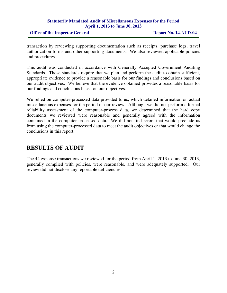#### **Statutorily Mandated Audit of Miscellaneous Expenses for the Period April 1, 2013 to June 30, 2013**

#### **Office of the Inspector General Report No. 14-AUD-04**

transaction by reviewing supporting documentation such as receipts, purchase logs, travel authorization forms and other supporting documents. We also reviewed applicable policies and procedures.

This audit was conducted in accordance with Generally Accepted Government Auditing Standards. Those standards require that we plan and perform the audit to obtain sufficient, appropriate evidence to provide a reasonable basis for our findings and conclusions based on our audit objectives. We believe that the evidence obtained provides a reasonable basis for our findings and conclusions based on our objectives.

We relied on computer-processed data provided to us, which detailed information on actual miscellaneous expenses for the period of our review. Although we did not perform a formal reliability assessment of the computer-process data, we determined that the hard copy documents we reviewed were reasonable and generally agreed with the information contained in the computer-processed data. We did not find errors that would preclude us from using the computer-processed data to meet the audit objectives or that would change the conclusions in this report.

## **RESULTS OF AUDIT**

The 44 expense transactions we reviewed for the period from April 1, 2013 to June 30, 2013, generally complied with policies, were reasonable, and were adequately supported. Our review did not disclose any reportable deficiencies.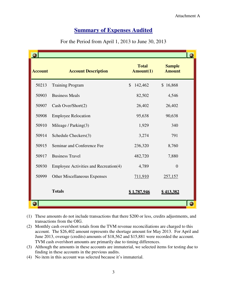### **<u>Summary of Expenses Audited</u>**

| <b>Summary of Expenses Audited</b><br>For the Period from April 1, 2013 to June 30, 2013 |                                                                                                                                                                                                                                                                                                                                                                                                                                                                                                                                                                                     |                           |                                     |  |
|------------------------------------------------------------------------------------------|-------------------------------------------------------------------------------------------------------------------------------------------------------------------------------------------------------------------------------------------------------------------------------------------------------------------------------------------------------------------------------------------------------------------------------------------------------------------------------------------------------------------------------------------------------------------------------------|---------------------------|-------------------------------------|--|
| <b>Account</b>                                                                           | <b>Account Description</b>                                                                                                                                                                                                                                                                                                                                                                                                                                                                                                                                                          | <b>Total</b><br>Amount(1) | O<br><b>Sample</b><br><b>Amount</b> |  |
| 50213                                                                                    | <b>Training Program</b>                                                                                                                                                                                                                                                                                                                                                                                                                                                                                                                                                             | \$<br>142,462             | \$16,868                            |  |
| 50903                                                                                    | <b>Business Meals</b>                                                                                                                                                                                                                                                                                                                                                                                                                                                                                                                                                               | 82,502                    | 4,546                               |  |
| 50907                                                                                    | Cash Over/Short(2)                                                                                                                                                                                                                                                                                                                                                                                                                                                                                                                                                                  | 26,402                    | 26,402                              |  |
| 50908                                                                                    | <b>Employee Relocation</b>                                                                                                                                                                                                                                                                                                                                                                                                                                                                                                                                                          | 95,638                    | 90,638                              |  |
| 50910                                                                                    | Mileage / Parking(3)                                                                                                                                                                                                                                                                                                                                                                                                                                                                                                                                                                | 1,929                     | 340                                 |  |
| 50914                                                                                    | Schedule Checkers(3)                                                                                                                                                                                                                                                                                                                                                                                                                                                                                                                                                                | 3,274                     | 791                                 |  |
| 50915                                                                                    | Seminar and Conference Fee                                                                                                                                                                                                                                                                                                                                                                                                                                                                                                                                                          | 236,320                   | 8,760                               |  |
| 50917                                                                                    | <b>Business Travel</b>                                                                                                                                                                                                                                                                                                                                                                                                                                                                                                                                                              | 482,720                   | 7,880                               |  |
| 50930                                                                                    | Employee Activities and Recreation(4)                                                                                                                                                                                                                                                                                                                                                                                                                                                                                                                                               | 4,789                     | $\theta$                            |  |
| 50999                                                                                    | <b>Other Miscellaneous Expenses</b>                                                                                                                                                                                                                                                                                                                                                                                                                                                                                                                                                 | <u>711,910</u>            | <u>257,157</u>                      |  |
|                                                                                          | <b>Totals</b>                                                                                                                                                                                                                                                                                                                                                                                                                                                                                                                                                                       | <u>\$1,787,946</u>        | <u>\$413,382</u>                    |  |
|                                                                                          |                                                                                                                                                                                                                                                                                                                                                                                                                                                                                                                                                                                     |                           |                                     |  |
|                                                                                          | These amounts do not include transactions that there \$200 or less, credits adjustments, and<br>transactions from the OIG.<br>Monthly cash over/short totals from the TVM revenue reconciliations are charged to this<br>account. The \$26,402 amount represents the shortage amount for May 2013. For April and<br>June 2013, overage (credits) amounts of \$18,562 and \$15,881 were recorded the account.<br>TVM cash over/short amounts are primarily due to timing differences.<br>Although the amounts in these accounts are immaterial, we selected items for testing due to |                           |                                     |  |

- (2) Monthly cash over/short totals from the TVM revenue reconciliations are charged to this account. The \$26,402 amount represents the shortage amount for May 2013. For April and June 2013, overage (credits) amounts of \$18,562 and \$15,881 were recorded the account. June 2013, overage (credits) amounts of \$18,562 and \$15,881 were recorded the account. TVM cash over/short amounts are primarily due to timing differences.
- (3) Although the amounts in these accounts are immaterial, we selected items for testing due to finding in these accounts in the previous audits.
- (4) No item in this account was selected because it's immaterial.